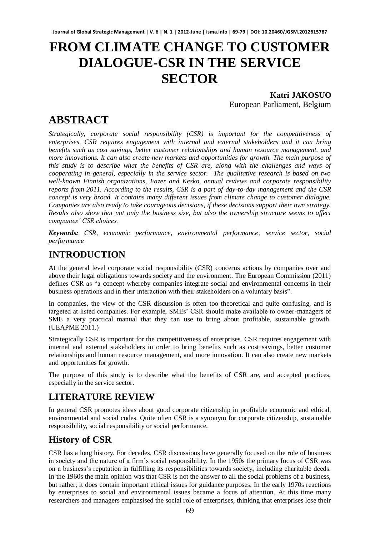# **FROM CLIMATE CHANGE TO CUSTOMER DIALOGUE-CSR IN THE SERVICE SECTOR**

**Katri JAKOSUO**  European Parliament, Belgium

## **ABSTRACT**

*Strategically, corporate social responsibility (CSR) is important for the competitiveness of enterprises. CSR requires engagement with internal and external stakeholders and it can bring benefits such as cost savings, better customer relationships and human resource management, and more innovations. It can also create new markets and opportunities for growth. The main purpose of this study is to describe what the benefits of CSR are, along with the challenges and ways of cooperating in general, especially in the service sector. The qualitative research is based on two well-known Finnish organizations, Fazer and Kesko, annual reviews and corporate responsibility reports from 2011. According to the results, CSR is a part of day-to-day management and the CSR concept is very broad. It contains many different issues from climate change to customer dialogue. Companies are also ready to take courageous decisions, if these decisions support their own strategy. Results also show that not only the business size, but also the ownership structure seems to affect companies' CSR choices.*

*Keywords: CSR, economic performance, environmental performance, service sector, social performance* 

### **INTRODUCTION**

At the general level corporate social responsibility (CSR) concerns actions by companies over and above their legal obligations towards society and the environment. The European Commission (2011) defines CSR as "a concept whereby companies integrate social and environmental concerns in their business operations and in their interaction with their stakeholders on a voluntary basis".

In companies, the view of the CSR discussion is often too theoretical and quite confusing, and is targeted at listed companies. For example, SMEs' CSR should make available to owner-managers of SME a very practical manual that they can use to bring about profitable, sustainable growth. (UEAPME 2011.)

Strategically CSR is important for the competitiveness of enterprises. CSR requires engagement with internal and external stakeholders in order to bring benefits such as cost savings, better customer relationships and human resource management, and more innovation. It can also create new markets and opportunities for growth.

The purpose of this study is to describe what the benefits of CSR are, and accepted practices, especially in the service sector.

### **LITERATURE REVIEW**

In general CSR promotes ideas about good corporate citizenship in profitable economic and ethical, environmental and social codes. Quite often CSR is a synonym for corporate citizenship, sustainable responsibility, social responsibility or social performance.

### **History of CSR**

CSR has a long history. For decades, CSR discussions have generally focused on the role of business in society and the nature of a firm's social responsibility. In the 1950s the primary focus of CSR was on a business's reputation in fulfilling its responsibilities towards society, including charitable deeds. In the 1960s the main opinion was that CSR is not the answer to all the social problems of a business, but rather, it does contain important ethical issues for guidance purposes. In the early 1970s reactions by enterprises to social and environmental issues became a focus of attention. At this time many researchers and managers emphasised the social role of enterprises, thinking that enterprises lose their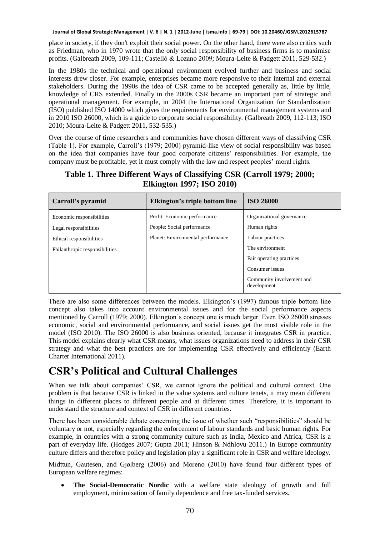place in society, if they don't exploit their social power. On the other hand, there were also critics such as Friedman, who in 1970 wrote that the only social responsibility of business firms is to maximise profits. (Galbreath 2009, 109-111; Castelló & Lozano 2009; Moura-Leite & Padgett 2011, 529-532.)

In the 1980s the technical and operational environment evolved further and business and social interests drew closer. For example, enterprises became more responsive to their internal and external stakeholders. During the 1990s the idea of CSR came to be accepted generally as, little by little, knowledge of CRS extended. Finally in the 2000s CSR became an important part of strategic and operational management. For example, in 2004 the International Organization for Standardization (ISO) published ISO 14000 which gives the requirements for environmental management systems and in 2010 ISO 26000, which is a guide to corporate social responsibility. (Galbreath 2009, 112-113; ISO 2010; Moura-Leite & Padgett 2011, 532-535.)

Over the course of time researchers and communities have chosen different ways of classifying CSR (Table 1). For example, Carroll's (1979; 2000) pyramid-like view of social responsibility was based on the idea that companies have four good corporate citizens' responsibilities. For example, the company must be profitable, yet it must comply with the law and respect peoples' moral rights.

| Carroll's pyramid              | Elkington's triple bottom line    | <b>ISO 26000</b>                         |
|--------------------------------|-----------------------------------|------------------------------------------|
| Economic responsibilities      | Profit: Economic performance      | Organizational governance                |
| Legal responsibilities         | People: Social performance        | Human rights                             |
| Ethical responsibilities       | Planet: Environmental performance | Labour practices                         |
| Philanthropic responsibilities |                                   | The environment                          |
|                                |                                   | Fair operating practices                 |
|                                |                                   | Consumer issues                          |
|                                |                                   | Community involvement and<br>development |

#### **Table 1. Three Different Ways of Classifying CSR (Carroll 1979; 2000; Elkington 1997; ISO 2010)**

There are also some differences between the models. Elkington's (1997) famous triple bottom line concept also takes into account environmental issues and for the social performance aspects mentioned by Carroll (1979; 2000), Elkington's concept one is much larger. Even ISO 26000 stresses economic, social and environmental performance, and social issues get the most visible role in the model (ISO 2010). The ISO 26000 is also business oriented, because it integrates CSR in practice. This model explains clearly what CSR means, what issues organizations need to address in their CSR strategy and what the best practices are for implementing CSR effectively and efficiently (Earth Charter International 2011).

### **CSR's Political and Cultural Challenges**

When we talk about companies' CSR, we cannot ignore the political and cultural context. One problem is that because CSR is linked in the value systems and culture tenets, it may mean different things in different places to different people and at different times. Therefore, it is important to understand the structure and context of CSR in different countries.

There has been considerable debate concerning the issue of whether such "responsibilities" should be voluntary or not, especially regarding the enforcement of labour standards and basic human rights. For example, in countries with a strong community culture such as India, Mexico and Africa, CSR is a part of everyday life. (Hodges 2007; Gupta 2011; Hinson & Ndhlovu 2011.) In Europe community culture differs and therefore policy and legislation play a significant role in CSR and welfare ideology.

Midttun, Gautesen, and Gjølberg (2006) and Moreno (2010) have found four different types of European welfare regimes:

 **The Social-Democratic Nordic** with a welfare state ideology of growth and full employment, minimisation of family dependence and free tax-funded services.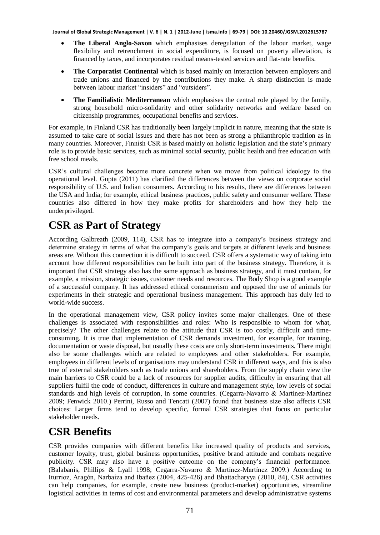- **The Liberal Anglo-Saxon** which emphasises deregulation of the labour market, wage flexibility and retrenchment in social expenditure, is focused on poverty alleviation, is financed by taxes, and incorporates residual means-tested services and flat-rate benefits.
- **The Corporatist Continental** which is based mainly on interaction between employers and trade unions and financed by the contributions they make. A sharp distinction is made between labour market "insiders" and "outsiders".
- **The Familialistic Mediterranean** which emphasises the central role played by the family, strong household micro-solidarity and other solidarity networks and welfare based on citizenship programmes, occupational benefits and services.

For example, in Finland CSR has traditionally been largely implicit in nature, meaning that the state is assumed to take care of social issues and there has not been as strong a philanthropic tradition as in many countries. Moreover, Finnish CSR is based mainly on holistic legislation and the state's primary role is to provide basic services, such as minimal social security, public health and free education with free school meals.

CSR's cultural challenges become more concrete when we move from political ideology to the operational level. Gupta (2011) has clarified the differences between the views on corporate social responsibility of U.S. and Indian consumers. According to his results, there are differences between the USA and India; for example, ethical business practices, public safety and consumer welfare. These countries also differed in how they make profits for shareholders and how they help the underprivileged.

## **CSR as Part of Strategy**

According Galbreath (2009, 114), CSR has to integrate into a company's business strategy and determine strategy in terms of what the company's goals and targets at different levels and business areas are. Without this connection it is difficult to succeed. CSR offers a systematic way of taking into account how different responsibilities can be built into part of the business strategy. Therefore, it is important that CSR strategy also has the same approach as business strategy, and it must contain, for example, a mission, strategic issues, customer needs and resources. The Body Shop is a good example of a successful company. It has addressed ethical consumerism and opposed the use of animals for experiments in their strategic and operational business management. This approach has duly led to world-wide success.

In the operational management view, CSR policy invites some major challenges. One of these challenges is associated with responsibilities and roles: Who is responsible to whom for what, precisely? The other challenges relate to the attitude that CSR is too costly, difficult and timeconsuming. It is true that implementation of CSR demands investment, for example, for training, documentation or waste disposal, but usually these costs are only short-term investments. There might also be some challenges which are related to employees and other stakeholders. For example, employees in different levels of organisations may understand CSR in different ways, and this is also true of external stakeholders such as trade unions and shareholders. From the supply chain view the main barriers to CSR could be a lack of resources for supplier audits, difficulty in ensuring that all suppliers fulfil the code of conduct, differences in culture and management style, low levels of social standards and high levels of corruption, in some countries. (Cegarra-Navarro & Martínez-Martínez 2009; Fenwick 2010.) Perrini, Russo and Tencati (2007) found that business size also affects CSR choices: Larger firms tend to develop specific, formal CSR strategies that focus on particular stakeholder needs.

### **CSR Benefits**

CSR provides companies with different benefits like increased quality of products and services, customer loyalty, trust, global business opportunities, positive brand attitude and combats negative publicity. CSR may also have a positive outcome on the company's financial performance. (Balabanis, Phillips & Lyall 1998; Cegarra-Navarro & Martínez-Martínez 2009.) According to Iturrioz, Aragón, Narbaiza and Ibañez (2004, 425-426) and Bhattacharyya (2010, 84), CSR activities can help companies, for example, create new business (product-market) opportunities, streamline logistical activities in terms of cost and environmental parameters and develop administrative systems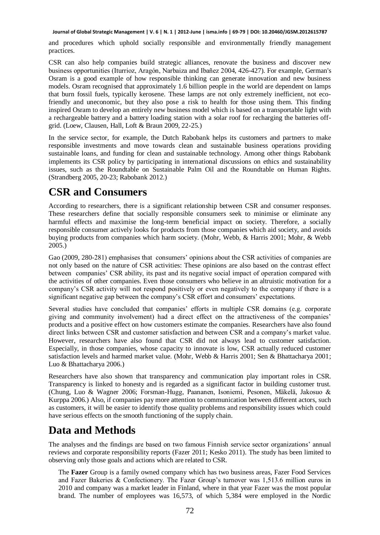and procedures which uphold socially responsible and environmentally friendly management practices.

CSR can also help companies build strategic alliances, renovate the business and discover new business opportunities (Iturrioz, Aragón, Narbaiza and Ibañez 2004, 426-427). For example, German's Osram is a good example of how responsible thinking can generate innovation and new business models. Osram recognised that approximately 1.6 billion people in the world are dependent on lamps that burn fossil fuels, typically kerosene. These lamps are not only extremely inefficient, not ecofriendly and uneconomic, but they also pose a risk to health for those using them. This finding inspired Osram to develop an entirely new business model which is based on a transportable light with a rechargeable battery and a battery loading station with a solar roof for recharging the batteries offgrid. (Loew, Clausen, Hall, Loft & Braun 2009, 22-25.)

In the service sector, for example, the Dutch Rabobank helps its customers and partners to make responsible investments and move towards clean and sustainable business operations providing sustainable loans, and funding for clean and sustainable technology. Among other things Rabobank implements its CSR policy by participating in international discussions on ethics and sustainability issues, such as the Roundtable on Sustainable Palm Oil and the Roundtable on Human Rights. (Strandberg 2005, 20-23; Rabobank 2012.)

### **CSR and Consumers**

According to researchers, there is a significant relationship between CSR and consumer responses. These researchers define that socially responsible consumers seek to minimise or eliminate any harmful effects and maximise the long-term beneficial impact on society. Therefore, a socially responsible consumer actively looks for products from those companies which aid society, and avoids buying products from companies which harm society. (Mohr, Webb, & Harris 2001; Mohr, & Webb 2005.)

Gao (2009, 280-281) emphasises that consumers' opinions about the CSR activities of companies are not only based on the nature of CSR activities: These opinions are also based on the contrast effect between companies' CSR ability, its past and its negative social impact of operation compared with the activities of other companies. Even those consumers who believe in an altruistic motivation for a company's CSR activity will not respond positively or even negatively to the company if there is a significant negative gap between the company's CSR effort and consumers' expectations.

Several studies have concluded that companies' efforts in multiple CSR domains (e.g. corporate giving and community involvement) had a direct effect on the attractiveness of the companies' products and a positive effect on how customers estimate the companies. Researchers have also found direct links between CSR and customer satisfaction and between CSR and a company's market value. However, researchers have also found that CSR did not always lead to customer satisfaction. Especially, in those companies, whose capacity to innovate is low, CSR actually reduced customer satisfaction levels and harmed market value. (Mohr, Webb & Harris 2001; Sen & Bhattacharya 2001; Luo & Bhattacharya 2006.)

Researchers have also shown that transparency and communication play important roles in CSR. Transparency is linked to honesty and is regarded as a significant factor in building customer trust. (Chung, Luo & Wagner 2006; Forsman-Hugg, Paananen, Isoniemi, Pesonen, Mäkelä, Jakosuo & Kurppa 2006.) Also, if companies pay more attention to communication between different actors, such as customers, it will be easier to identify those quality problems and responsibility issues which could have serious effects on the smooth functioning of the supply chain.

### **Data and Methods**

The analyses and the findings are based on two famous Finnish service sector organizations' annual reviews and corporate responsibility reports (Fazer 2011; Kesko 2011). The study has been limited to observing only those goals and actions which are related to CSR.

The **Fazer** Group is a family owned company which has two business areas, Fazer Food Services and Fazer Bakeries & Confectionery. The Fazer Group's turnover was 1,513.6 million euros in 2010 and company was a market leader in Finland, where in that year Fazer was the most popular brand. The number of employees was 16,573, of which 5,384 were employed in the Nordic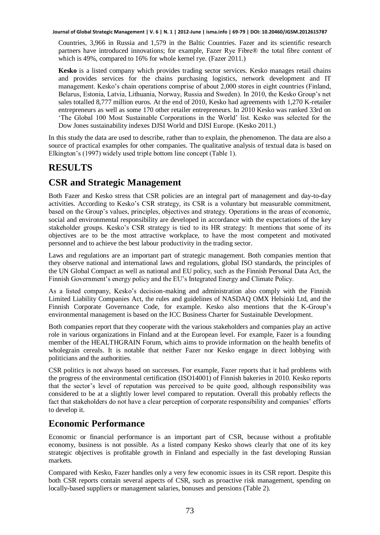Countries, 3,966 in Russia and 1,579 in the Baltic Countries. Fazer and its scientific research partners have introduced innovations; for example, Fazer Rye Fibre® the total fibre content of which is 49%, compared to 16% for whole kernel rye. (Fazer 2011.)

**Kesko** is a listed company which provides trading sector services. Kesko manages retail chains and provides services for the chains purchasing logistics, network development and IT management. Kesko's chain operations comprise of about 2,000 stores in eight countries (Finland, Belarus, Estonia, Latvia, Lithuania, Norway, Russia and Sweden). In 2010, the Kesko Group's net sales totalled 8,777 million euros. At the end of 2010, Kesko had agreements with 1,270 K-retailer entrepreneurs as well as some 170 other retailer entrepreneurs. In 2010 Kesko was ranked 33rd on 'The Global 100 Most Sustainable Corporations in the World' list. Kesko was selected for the Dow Jones sustainability indexes DJSI World and DJSI Europe. (Kesko 2011.)

In this study the data are used to describe, rather than to explain, the phenomenon. The data are also a source of practical examples for other companies. The qualitative analysis of textual data is based on Elkington's (1997) widely used triple bottom line concept (Table 1).

#### **RESULTS**

#### **CSR and Strategic Management**

Both Fazer and Kesko stress that CSR policies are an integral part of management and day-to-day activities. According to Kesko's CSR strategy, its CSR is a voluntary but measurable commitment, based on the Group's values, principles, objectives and strategy. Operations in the areas of economic, social and environmental responsibility are developed in accordance with the expectations of the key stakeholder groups. Kesko's CSR strategy is tied to its HR strategy: It mentions that some of its objectives are to be the most attractive workplace, to have the most competent and motivated personnel and to achieve the best labour productivity in the trading sector.

Laws and regulations are an important part of strategic management. Both companies mention that they observe national and international laws and regulations, global ISO standards, the principles of the UN Global Compact as well as national and EU policy, such as the Finnish Personal Data Act, the Finnish Government's energy policy and the EU's Integrated Energy and Climate Policy.

As a listed company, Kesko's decision-making and administration also comply with the Finnish Limited Liability Companies Act, the rules and guidelines of NASDAQ OMX Helsinki Ltd, and the Finnish Corporate Governance Code, for example. Kesko also mentions that the K-Group's environmental management is based on the ICC Business Charter for Sustainable Development.

Both companies report that they cooperate with the various stakeholders and companies play an active role in various organizations in Finland and at the European level. For example, Fazer is a founding member of the HEALTHGRAIN Forum, which aims to provide information on the health benefits of wholegrain cereals. It is notable that neither Fazer nor Kesko engage in direct lobbying with politicians and the authorities.

CSR politics is not always based on successes. For example, Fazer reports that it had problems with the progress of the environmental certification (ISO14001) of Finnish bakeries in 2010. Kesko reports that the sector's level of reputation was perceived to be quite good, although responsibility was considered to be at a slightly lower level compared to reputation. Overall this probably reflects the fact that stakeholders do not have a clear perception of corporate responsibility and companies' efforts to develop it.

#### **Economic Performance**

Economic or financial performance is an important part of CSR, because without a profitable economy, business is not possible. As a listed company Kesko shows clearly that one of its key strategic objectives is profitable growth in Finland and especially in the fast developing Russian markets.

Compared with Kesko, Fazer handles only a very few economic issues in its CSR report. Despite this both CSR reports contain several aspects of CSR, such as proactive risk management, spending on locally-based suppliers or management salaries, bonuses and pensions (Table 2).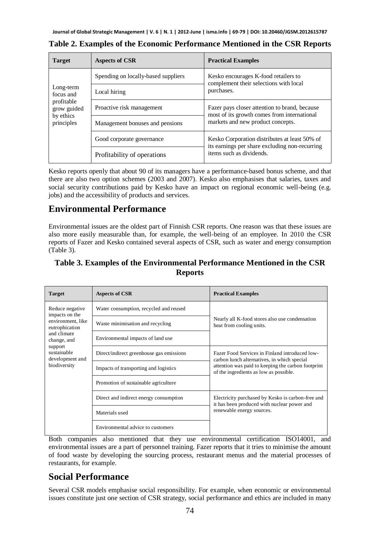| <b>Target</b>                                                                  | <b>Aspects of CSR</b>               | <b>Practical Examples</b>                                                                                                   |  |
|--------------------------------------------------------------------------------|-------------------------------------|-----------------------------------------------------------------------------------------------------------------------------|--|
| Long-term<br>focus and<br>profitable<br>grow guided<br>by ethics<br>principles | Spending on locally-based suppliers | Kesko encourages K-food retailers to<br>complement their selections with local                                              |  |
|                                                                                | Local hiring                        | purchases.                                                                                                                  |  |
|                                                                                | Proactive risk management           | Fazer pays closer attention to brand, because<br>most of its growth comes from international                                |  |
|                                                                                | Management bonuses and pensions     | markets and new product concepts.                                                                                           |  |
|                                                                                | Good corporate governance           | Kesko Corporation distributes at least 50% of<br>its earnings per share excluding non-recurring<br>items such as dividends. |  |
|                                                                                | Profitability of operations         |                                                                                                                             |  |

**Table 2. Examples of the Economic Performance Mentioned in the CSR Reports** 

Kesko reports openly that about 90 of its managers have a performance-based bonus scheme, and that there are also two option schemes (2003 and 2007). Kesko also emphasises that salaries, taxes and social security contributions paid by Kesko have an impact on regional economic well-being (e.g. jobs) and the accessibility of products and services.

#### **Environmental Performance**

Environmental issues are the oldest part of Finnish CSR reports. One reason was that these issues are also more easily measurable than, for example, the well-being of an employee. In 2010 the CSR reports of Fazer and Kesko contained several aspects of CSR, such as water and energy consumption (Table 3).

#### **Table 3. Examples of the Environmental Performance Mentioned in the CSR Reports**

| <b>Target</b>                                                                                                                                                       | <b>Aspects of CSR</b>                    | <b>Practical Examples</b>                                                                                                     |  |
|---------------------------------------------------------------------------------------------------------------------------------------------------------------------|------------------------------------------|-------------------------------------------------------------------------------------------------------------------------------|--|
| Reduce negative<br>impacts on the<br>environment, like<br>eutrophication<br>and climate<br>change, and<br>support<br>sustainable<br>development and<br>biodiversity | Water consumption, recycled and reused   | Nearly all K-food stores also use condensation<br>heat from cooling units.                                                    |  |
|                                                                                                                                                                     | Waste minimisation and recycling         |                                                                                                                               |  |
|                                                                                                                                                                     | Environmental impacts of land use        |                                                                                                                               |  |
|                                                                                                                                                                     | Direct/indirect greenhouse gas emissions | Fazer Food Services in Finland introduced low-<br>carbon lunch alternatives, in which special                                 |  |
|                                                                                                                                                                     | Impacts of transporting and logistics    | attention was paid to keeping the carbon footprint<br>of the ingredients as low as possible.                                  |  |
|                                                                                                                                                                     | Promotion of sustainable agriculture     |                                                                                                                               |  |
|                                                                                                                                                                     | Direct and indirect energy consumption   | Electricity purchased by Kesko is carbon-free and<br>it has been produced with nuclear power and<br>renewable energy sources. |  |
|                                                                                                                                                                     | Materials used                           |                                                                                                                               |  |
|                                                                                                                                                                     | Environmental advice to customers        |                                                                                                                               |  |

Both companies also mentioned that they use environmental certification ISO14001, and environmental issues are a part of personnel training. Fazer reports that it tries to minimise the amount of food waste by developing the sourcing process, restaurant menus and the material processes of restaurants, for example.

#### **Social Performance**

Several CSR models emphasise social responsibility. For example, when economic or environmental issues constitute just one section of CSR strategy, social performance and ethics are included in many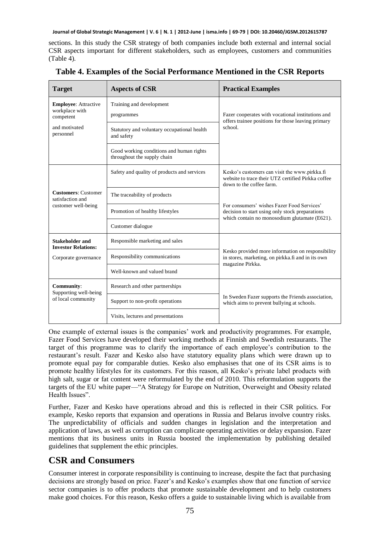sections. In this study the CSR strategy of both companies include both external and internal social CSR aspects important for different stakeholders, such as employees, customers and communities (Table 4).

| <b>Target</b>                                                         | <b>Aspects of CSR</b>                                                   | <b>Practical Examples</b>                                                                                                                      |  |
|-----------------------------------------------------------------------|-------------------------------------------------------------------------|------------------------------------------------------------------------------------------------------------------------------------------------|--|
| <b>Employee:</b> Attractive<br>workplace with                         | Training and development                                                |                                                                                                                                                |  |
| competent                                                             | programmes                                                              | Fazer cooperates with vocational institutions and<br>offers trainee positions for those leaving primary                                        |  |
| and motivated<br>personnel                                            | Statutory and voluntary occupational health<br>and safety               | school                                                                                                                                         |  |
|                                                                       | Good working conditions and human rights<br>throughout the supply chain |                                                                                                                                                |  |
| <b>Customers: Customer</b><br>satisfaction and<br>customer well-being | Safety and quality of products and services                             | Kesko's customers can visit the www.pirkka.fi<br>website to trace their UTZ certified Pirkka coffee<br>down to the coffee farm.                |  |
|                                                                       | The traceability of products                                            | For consumers' wishes Fazer Food Services'<br>decision to start using only stock preparations<br>which contain no monosodium glutamate (E621). |  |
|                                                                       | Promotion of healthy lifestyles                                         |                                                                                                                                                |  |
|                                                                       | Customer dialogue                                                       |                                                                                                                                                |  |
| <b>Stakeholder and</b><br><b>Investor Relations:</b>                  | Responsible marketing and sales                                         | Kesko provided more information on responsibility<br>in stores, marketing, on pirkka.fi and in its own<br>magazine Pirkka.                     |  |
| Corporate governance                                                  | Responsibility communications                                           |                                                                                                                                                |  |
|                                                                       | Well-known and valued brand                                             |                                                                                                                                                |  |
| <b>Community:</b><br>Supporting well-being<br>of local community      | Research and other partnerships                                         |                                                                                                                                                |  |
|                                                                       | Support to non-profit operations                                        | In Sweden Fazer supports the Friends association,<br>which aims to prevent bullying at schools.                                                |  |
|                                                                       | Visits, lectures and presentations                                      |                                                                                                                                                |  |

**Table 4. Examples of the Social Performance Mentioned in the CSR Reports** 

One example of external issues is the companies' work and productivity programmes. For example, Fazer Food Services have developed their working methods at Finnish and Swedish restaurants. The target of this programme was to clarify the importance of each employee's contribution to the restaurant's result. Fazer and Kesko also have statutory equality plans which were drawn up to promote equal pay for comparable duties. Kesko also emphasises that one of its CSR aims is to promote healthy lifestyles for its customers. For this reason, all Kesko's private label products with high salt, sugar or fat content were reformulated by the end of 2010. This reformulation supports the targets of the EU white paper—"A Strategy for Europe on Nutrition, Overweight and Obesity related Health Issues".

Further, Fazer and Kesko have operations abroad and this is reflected in their CSR politics. For example, Kesko reports that expansion and operations in Russia and Belarus involve country risks. The unpredictability of officials and sudden changes in legislation and the interpretation and application of laws, as well as corruption can complicate operating activities or delay expansion. Fazer mentions that its business units in Russia boosted the implementation by publishing detailed guidelines that supplement the ethic principles.

#### **CSR and Consumers**

Consumer interest in corporate responsibility is continuing to increase, despite the fact that purchasing decisions are strongly based on price. Fazer's and Kesko's examples show that one function of service sector companies is to offer products that promote sustainable development and to help customers make good choices. For this reason, Kesko offers a guide to sustainable living which is available from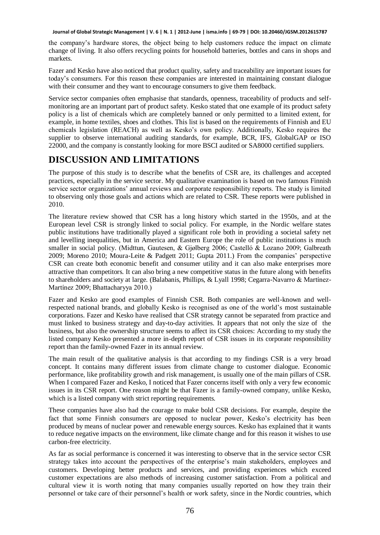the company's hardware stores, the object being to help customers reduce the impact on climate change of living. It also offers recycling points for household batteries, bottles and cans in shops and markets.

Fazer and Kesko have also noticed that product quality, safety and traceability are important issues for today's consumers. For this reason these companies are interested in maintaining constant dialogue with their consumer and they want to encourage consumers to give them feedback.

Service sector companies often emphasise that standards, openness, traceability of products and selfmonitoring are an important part of product safety. Kesko stated that one example of its product safety policy is a list of chemicals which are completely banned or only permitted to a limited extent, for example, in home textiles, shoes and clothes. This list is based on the requirements of Finnish and EU chemicals legislation (REACH) as well as Kesko's own policy. Additionally, Kesko requires the supplier to observe international auditing standards, for example, BCR, IFS, GlobalGAP or ISO 22000, and the company is constantly looking for more BSCI audited or SA8000 certified suppliers.

### **DISCUSSION AND LIMITATIONS**

The purpose of this study is to describe what the benefits of CSR are, its challenges and accepted practices, especially in the service sector. My qualitative examination is based on two famous Finnish service sector organizations' annual reviews and corporate responsibility reports. The study is limited to observing only those goals and actions which are related to CSR. These reports were published in 2010.

The literature review showed that CSR has a long history which started in the 1950s, and at the European level CSR is strongly linked to social policy. For example, in the Nordic welfare states public institutions have traditionally played a significant role both in providing a societal safety net and levelling inequalities, but in America and Eastern Europe the role of public institutions is much smaller in social policy. (Midttun, Gautesen, & Gjølberg 2006; Castelló & Lozano 2009; Galbreath 2009; Moreno 2010; Moura-Leite & Padgett 2011; Gupta 2011.) From the companies' perspective CSR can create both economic benefit and consumer utility and it can also make enterprises more attractive than competitors. It can also bring a new competitive status in the future along with benefits to shareholders and society at large. (Balabanis, Phillips, & Lyall 1998; Cegarra-Navarro & Martínez-Martínez 2009; Bhattacharyya 2010.)

Fazer and Kesko are good examples of Finnish CSR. Both companies are well-known and wellrespected national brands, and globally Kesko is recognised as one of the world's most sustainable corporations. Fazer and Kesko have realised that CSR strategy cannot be separated from practice and must linked to business strategy and day-to-day activities. It appears that not only the size of the business, but also the ownership structure seems to affect its CSR choices: According to my study the listed company Kesko presented a more in-depth report of CSR issues in its corporate responsibility report than the family-owned Fazer in its annual review.

The main result of the qualitative analysis is that according to my findings CSR is a very broad concept. It contains many different issues from climate change to customer dialogue. Economic performance, like profitability growth and risk management, is usually one of the main pillars of CSR. When I compared Fazer and Kesko, I noticed that Fazer concerns itself with only a very few economic issues in its CSR report. One reason might be that Fazer is a family-owned company, unlike Kesko, which is a listed company with strict reporting requirements.

These companies have also had the courage to make bold CSR decisions. For example, despite the fact that some Finnish consumers are opposed to nuclear power, Kesko's electricity has been produced by means of nuclear power and renewable energy sources. Kesko has explained that it wants to reduce negative impacts on the environment, like climate change and for this reason it wishes to use carbon-free electricity.

As far as social performance is concerned it was interesting to observe that in the service sector CSR strategy takes into account the perspectives of the enterprise's main stakeholders, employees and customers. Developing better products and services, and providing experiences which exceed customer expectations are also methods of increasing customer satisfaction. From a political and cultural view it is worth noting that many companies usually reported on how they train their personnel or take care of their personnel's health or work safety, since in the Nordic countries, which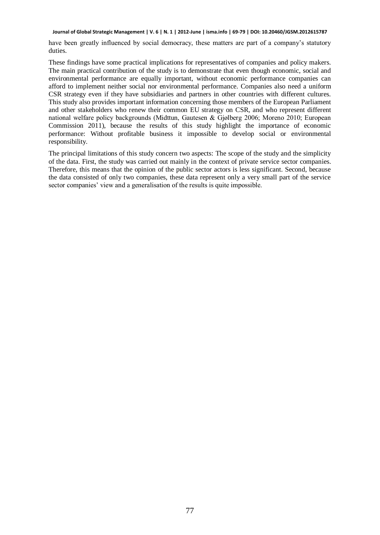have been greatly influenced by social democracy, these matters are part of a company's statutory duties.

These findings have some practical implications for representatives of companies and policy makers. The main practical contribution of the study is to demonstrate that even though economic, social and environmental performance are equally important, without economic performance companies can afford to implement neither social nor environmental performance. Companies also need a uniform CSR strategy even if they have subsidiaries and partners in other countries with different cultures. This study also provides important information concerning those members of the European Parliament and other stakeholders who renew their common EU strategy on CSR, and who represent different national welfare policy backgrounds (Midttun, Gautesen & Gjølberg 2006; Moreno 2010; European Commission 2011), because the results of this study highlight the importance of economic performance: Without profitable business it impossible to develop social or environmental responsibility.

The principal limitations of this study concern two aspects: The scope of the study and the simplicity of the data. First, the study was carried out mainly in the context of private service sector companies. Therefore, this means that the opinion of the public sector actors is less significant. Second, because the data consisted of only two companies, these data represent only a very small part of the service sector companies' view and a generalisation of the results is quite impossible.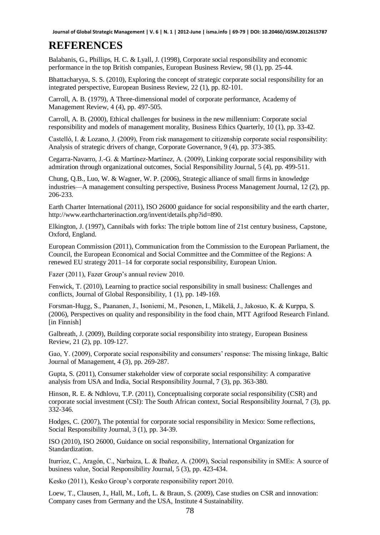### **REFERENCES**

Balabanis, G., Phillips, H. C. & Lyall, J. (1998), Corporate social responsibility and economic performance in the top British companies, European Business Review, 98 (1), pp. 25-44.

Bhattacharyya, S. S. (2010), Exploring the concept of strategic corporate social responsibility for an integrated perspective, European Business Review, 22 (1), pp. 82-101.

Carroll, A. B. (1979), A Three-dimensional model of corporate performance, Academy of Management Review, 4 (4), pp. 497-505.

Carroll, A. B. (2000), Ethical challenges for business in the new millennium: Corporate social responsibility and models of management morality, Business Ethics Quarterly, 10 (1), pp. 33-42.

Castelló, I. & Lozano, J. (2009), From risk management to citizenship corporate social responsibility: Analysis of strategic drivers of change, Corporate Governance, 9 (4), pp. 373-385.

Cegarra-Navarro, J.-G. & Martínez-Martínez, A. (2009), Linking corporate social responsibility with admiration through organizational outcomes, Social Responsibility Journal, 5 (4), pp. 499-511.

Chung, Q.B., Luo, W. & Wagner, W. P. (2006), Strategic alliance of small firms in knowledge industries—A management consulting perspective, Business Process Management Journal, 12 (2), pp. 206-233.

Earth Charter International (2011), ISO 26000 guidance for social responsibility and the earth charter, http://www.earthcharterinaction.org/invent/details.php?id=890.

Elkington, J. (1997), Cannibals with forks: The triple bottom line of 21st century business, Capstone, Oxford, England.

European Commission (2011), Communication from the Commission to the European Parliament, the Council, the European Economical and Social Committee and the Committee of the Regions: A renewed EU strategy 2011–14 for corporate social responsibility, European Union.

Fazer (2011), Fazer Group's annual review 2010.

Fenwick, T. (2010), Learning to practice social responsibility in small business: Challenges and conflicts, Journal of Global Responsibility, 1 (1), pp. 149-169.

Forsman-Hugg, S., Paananen, J., Isoniemi, M., Pesonen, I., Mäkelä, J., Jakosuo, K. & Kurppa, S. (2006), Perspectives on quality and responsibility in the food chain, MTT Agrifood Research Finland. [in Finnish]

Galbreath, J. (2009), Building corporate social responsibility into strategy, European Business Review, 21 (2), pp. 109-127.

Gao, Y. (2009), Corporate social responsibility and consumers' response: The missing linkage, Baltic Journal of Management, 4 (3), pp. 269-287.

Gupta, S. (2011), Consumer stakeholder view of corporate social responsibility: A comparative analysis from USA and India, Social Responsibility Journal, 7 (3), pp. 363-380.

Hinson, R. E. & Ndhlovu, T.P. (2011), Conceptualising corporate social responsibility (CSR) and corporate social investment (CSI): The South African context, Social Responsibility Journal, 7 (3), pp. 332-346.

Hodges, C. (2007), The potential for corporate social responsibility in Mexico: Some reflections, Social Responsibility Journal, 3 (1), pp. 34-39.

ISO (2010), ISO 26000, Guidance on social responsibility, International Organization for Standardization.

Iturrioz, C., Aragón, C., Narbaiza, L. & Ibañez, A. (2009), Social responsibility in SMEs: A source of business value, Social Responsibility Journal, 5 (3), pp. 423-434.

Kesko (2011), Kesko Group's corporate responsibility report 2010.

Loew, T., Clausen, J., Hall, M., Loft, L. & Braun, S. (2009), Case studies on CSR and innovation: Company cases from Germany and the USA, Institute 4 Sustainability.